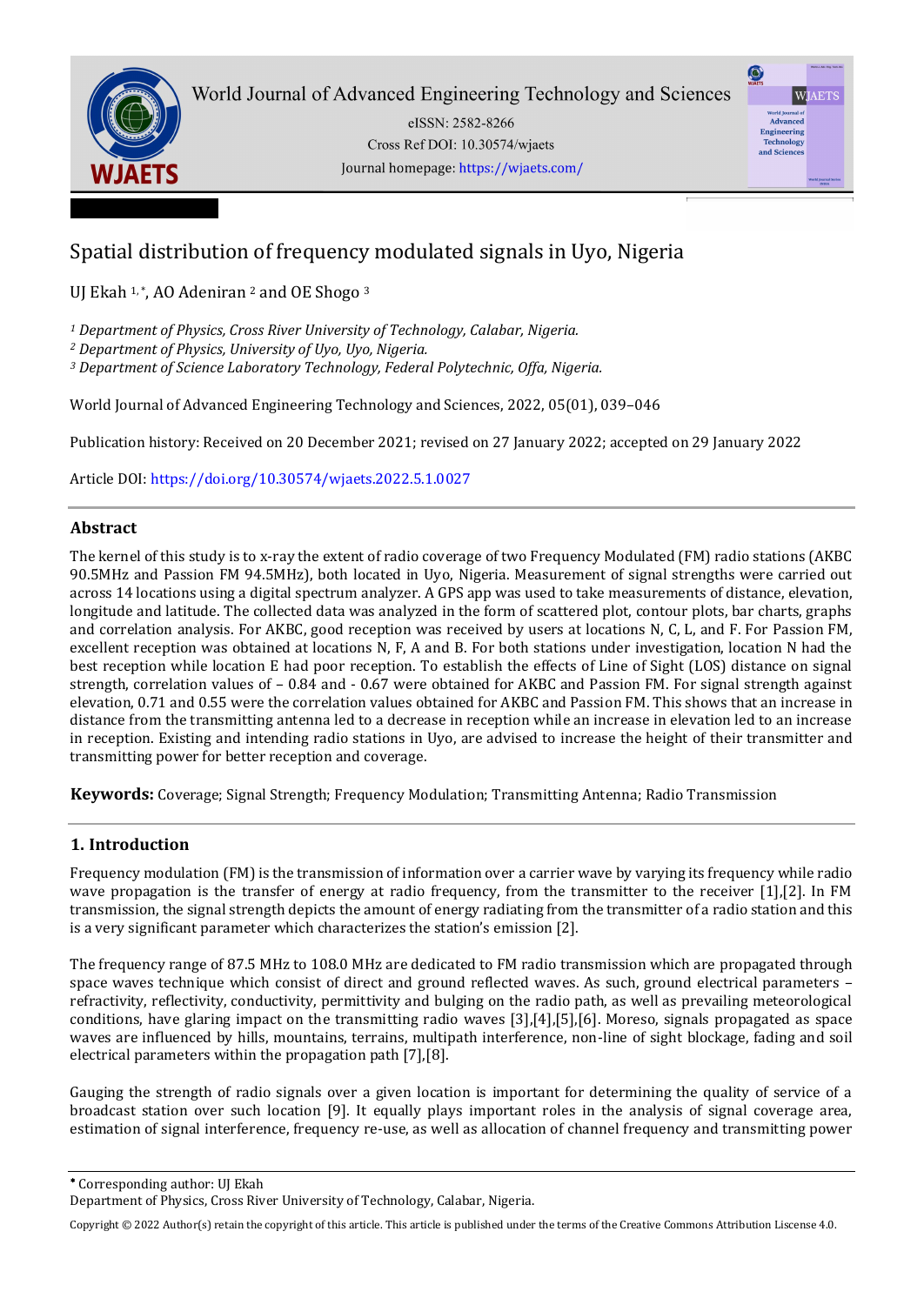

eISSN: 2582-8266 Cross Ref DOI: 10.30574/wjaets Journal homepage: https://wjaets.com/



# Spatial distribution of frequency modulated signals in Uyo, Nigeria

UJ Ekah <sup>1,\*</sup>, AO Adeniran <sup>2</sup> and OE Shogo <sup>3</sup>

*<sup>1</sup> Department of Physics, Cross River University of Technology, Calabar, Nigeria.* 

*<sup>2</sup> Department of Physics, University of Uyo, Uyo, Nigeria.* 

*<sup>3</sup> Department of Science Laboratory Technology, Federal Polytechnic, Offa, Nigeria.* 

World Journal of Advanced Engineering Technology and Sciences, 2022, 05(01), 039–046

Publication history: Received on 20 December 2021; revised on 27 January 2022; accepted on 29 January 2022

Article DOI[: https://doi.org/10.30574/wjaets.2022.5.1.0027](https://doi.org/10.30574/wjaets.2022.5.1.0027)

# **Abstract**

The kernel of this study is to x-ray the extent of radio coverage of two Frequency Modulated (FM) radio stations (AKBC 90.5MHz and Passion FM 94.5MHz), both located in Uyo, Nigeria. Measurement of signal strengths were carried out across 14 locations using a digital spectrum analyzer. A GPS app was used to take measurements of distance, elevation, longitude and latitude. The collected data was analyzed in the form of scattered plot, contour plots, bar charts, graphs and correlation analysis. For AKBC, good reception was received by users at locations N, C, L, and F. For Passion FM, excellent reception was obtained at locations N, F, A and B. For both stations under investigation, location N had the best reception while location E had poor reception. To establish the effects of Line of Sight (LOS) distance on signal strength, correlation values of – 0.84 and - 0.67 were obtained for AKBC and Passion FM. For signal strength against elevation, 0.71 and 0.55 were the correlation values obtained for AKBC and Passion FM. This shows that an increase in distance from the transmitting antenna led to a decrease in reception while an increase in elevation led to an increase in reception. Existing and intending radio stations in Uyo, are advised to increase the height of their transmitter and transmitting power for better reception and coverage.

**Keywords:** Coverage; Signal Strength; Frequency Modulation; Transmitting Antenna; Radio Transmission

# **1. Introduction**

Frequency modulation (FM) is the transmission of information over a carrier wave by varying its frequency while radio wave propagation is the transfer of energy at radio frequency, from the transmitter to the receiver [1],[2]. In FM transmission, the signal strength depicts the amount of energy radiating from the transmitter of a radio station and this is a very significant parameter which characterizes the station's emission [2].

The frequency range of 87.5 MHz to 108.0 MHz are dedicated to FM radio transmission which are propagated through space waves technique which consist of direct and ground reflected waves. As such, ground electrical parameters – refractivity, reflectivity, conductivity, permittivity and bulging on the radio path, as well as prevailing meteorological conditions, have glaring impact on the transmitting radio waves [3],[4],[5],[6]. Moreso, signals propagated as space waves are influenced by hills, mountains, terrains, multipath interference, non-line of sight blockage, fading and soil electrical parameters within the propagation path [7],[8].

Gauging the strength of radio signals over a given location is important for determining the quality of service of a broadcast station over such location [9]. It equally plays important roles in the analysis of signal coverage area, estimation of signal interference, frequency re-use, as well as allocation of channel frequency and transmitting power

Corresponding author: UJ Ekah

Copyright © 2022 Author(s) retain the copyright of this article. This article is published under the terms of th[e Creative Commons Attribution Liscense 4.0.](http://creativecommons.org/licenses/by/4.0/deed.en_US) 

Department of Physics, Cross River University of Technology, Calabar, Nigeria.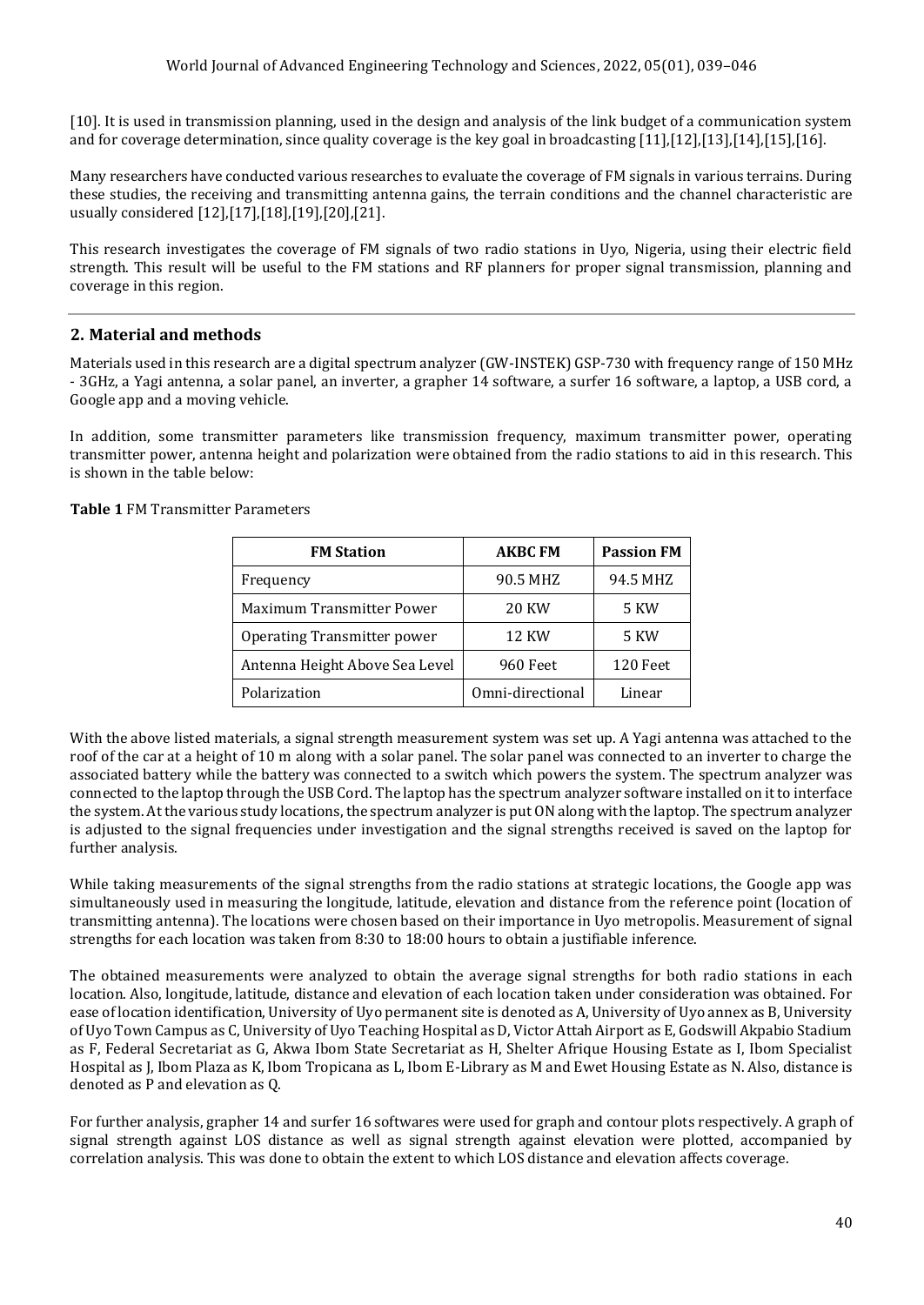[10]. It is used in transmission planning, used in the design and analysis of the link budget of a communication system and for coverage determination, since quality coverage is the key goal in broadcasting [11],[12],[13],[14],[15],[16].

Many researchers have conducted various researches to evaluate the coverage of FM signals in various terrains. During these studies, the receiving and transmitting antenna gains, the terrain conditions and the channel characteristic are usually considered [12],[17],[18],[19],[20],[21].

This research investigates the coverage of FM signals of two radio stations in Uyo, Nigeria, using their electric field strength. This result will be useful to the FM stations and RF planners for proper signal transmission, planning and coverage in this region.

# **2. Material and methods**

Materials used in this research are a digital spectrum analyzer (GW-INSTEK) GSP-730 with frequency range of 150 MHz - 3GHz, a Yagi antenna, a solar panel, an inverter, a grapher 14 software, a surfer 16 software, a laptop, a USB cord, a Google app and a moving vehicle.

In addition, some transmitter parameters like transmission frequency, maximum transmitter power, operating transmitter power, antenna height and polarization were obtained from the radio stations to aid in this research. This is shown in the table below:

| <b>FM Station</b>                  | <b>AKBC FM</b>   | <b>Passion FM</b> |
|------------------------------------|------------------|-------------------|
| Frequency                          | 90.5 MHZ         | 94.5 MHZ          |
| <b>Maximum Transmitter Power</b>   | <b>20 KW</b>     | 5 KW              |
| <b>Operating Transmitter power</b> | <b>12 KW</b>     | <b>5 KW</b>       |
| Antenna Height Above Sea Level     | <b>960 Feet</b>  | 120 Feet          |
| Polarization                       | Omni-directional | Linear            |

#### **Table 1** FM Transmitter Parameters

With the above listed materials, a signal strength measurement system was set up. A Yagi antenna was attached to the roof of the car at a height of 10 m along with a solar panel. The solar panel was connected to an inverter to charge the associated battery while the battery was connected to a switch which powers the system. The spectrum analyzer was connected to the laptop through the USB Cord. The laptop has the spectrum analyzer software installed on it to interface the system. At the various study locations, the spectrum analyzer is put ON along with the laptop. The spectrum analyzer is adjusted to the signal frequencies under investigation and the signal strengths received is saved on the laptop for further analysis.

While taking measurements of the signal strengths from the radio stations at strategic locations, the Google app was simultaneously used in measuring the longitude, latitude, elevation and distance from the reference point (location of transmitting antenna). The locations were chosen based on their importance in Uyo metropolis. Measurement of signal strengths for each location was taken from 8:30 to 18:00 hours to obtain a justifiable inference.

The obtained measurements were analyzed to obtain the average signal strengths for both radio stations in each location. Also, longitude, latitude, distance and elevation of each location taken under consideration was obtained. For ease of location identification, University of Uyo permanent site is denoted as A, University of Uyo annex as B, University of Uyo Town Campus as C, University of Uyo Teaching Hospital as D, Victor Attah Airport as E, Godswill Akpabio Stadium as F, Federal Secretariat as G, Akwa Ibom State Secretariat as H, Shelter Afrique Housing Estate as I, Ibom Specialist Hospital as J, Ibom Plaza as K, Ibom Tropicana as L, Ibom E-Library as M and Ewet Housing Estate as N. Also, distance is denoted as P and elevation as Q.

For further analysis, grapher 14 and surfer 16 softwares were used for graph and contour plots respectively. A graph of signal strength against LOS distance as well as signal strength against elevation were plotted, accompanied by correlation analysis. This was done to obtain the extent to which LOS distance and elevation affects coverage.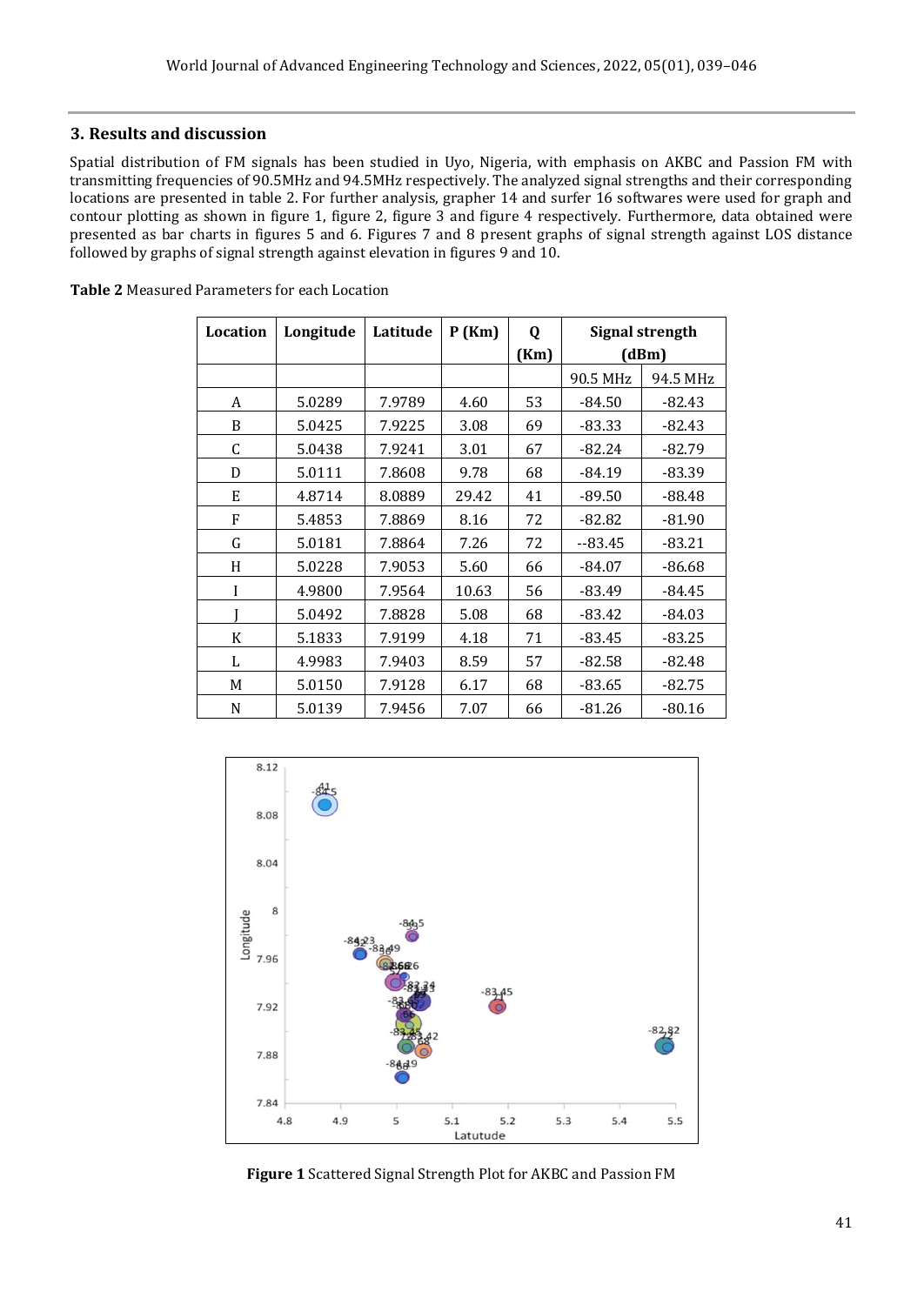#### **3. Results and discussion**

Spatial distribution of FM signals has been studied in Uyo, Nigeria, with emphasis on AKBC and Passion FM with transmitting frequencies of 90.5MHz and 94.5MHz respectively. The analyzed signal strengths and their corresponding locations are presented in table 2. For further analysis, grapher 14 and surfer 16 softwares were used for graph and contour plotting as shown in figure 1, figure 2, figure 3 and figure 4 respectively. Furthermore, data obtained were presented as bar charts in figures 5 and 6. Figures 7 and 8 present graphs of signal strength against LOS distance followed by graphs of signal strength against elevation in figures 9 and 10.

| Location | Longitude | Latitude | P(Km) | Q    | <b>Signal strength</b> |          |
|----------|-----------|----------|-------|------|------------------------|----------|
|          |           |          |       | (Km) | (dBm)                  |          |
|          |           |          |       |      | 90.5 MHz               | 94.5 MHz |
| A        | 5.0289    | 7.9789   | 4.60  | 53   | -84.50                 | $-82.43$ |
| B        | 5.0425    | 7.9225   | 3.08  | 69   | -83.33                 | $-82.43$ |
| C        | 5.0438    | 7.9241   | 3.01  | 67   | $-82.24$               | $-82.79$ |
| D        | 5.0111    | 7.8608   | 9.78  | 68   | -84.19                 | $-83.39$ |
| E        | 4.8714    | 8.0889   | 29.42 | 41   | -89.50                 | $-88.48$ |
| F        | 5.4853    | 7.8869   | 8.16  | 72   | -82.82                 | $-81.90$ |
| G        | 5.0181    | 7.8864   | 7.26  | 72   | $-83.45$               | $-83.21$ |
| H        | 5.0228    | 7.9053   | 5.60  | 66   | -84.07                 | $-86.68$ |
| I        | 4.9800    | 7.9564   | 10.63 | 56   | -83.49                 | $-84.45$ |
|          | 5.0492    | 7.8828   | 5.08  | 68   | -83.42                 | $-84.03$ |
| K        | 5.1833    | 7.9199   | 4.18  | 71   | -83.45                 | $-83.25$ |
| L        | 4.9983    | 7.9403   | 8.59  | 57   | $-82.58$               | $-82.48$ |
| M        | 5.0150    | 7.9128   | 6.17  | 68   | -83.65                 | $-82.75$ |
| N        | 5.0139    | 7.9456   | 7.07  | 66   | -81.26                 | $-80.16$ |

**Table 2** Measured Parameters for each Location



**Figure 1** Scattered Signal Strength Plot for AKBC and Passion FM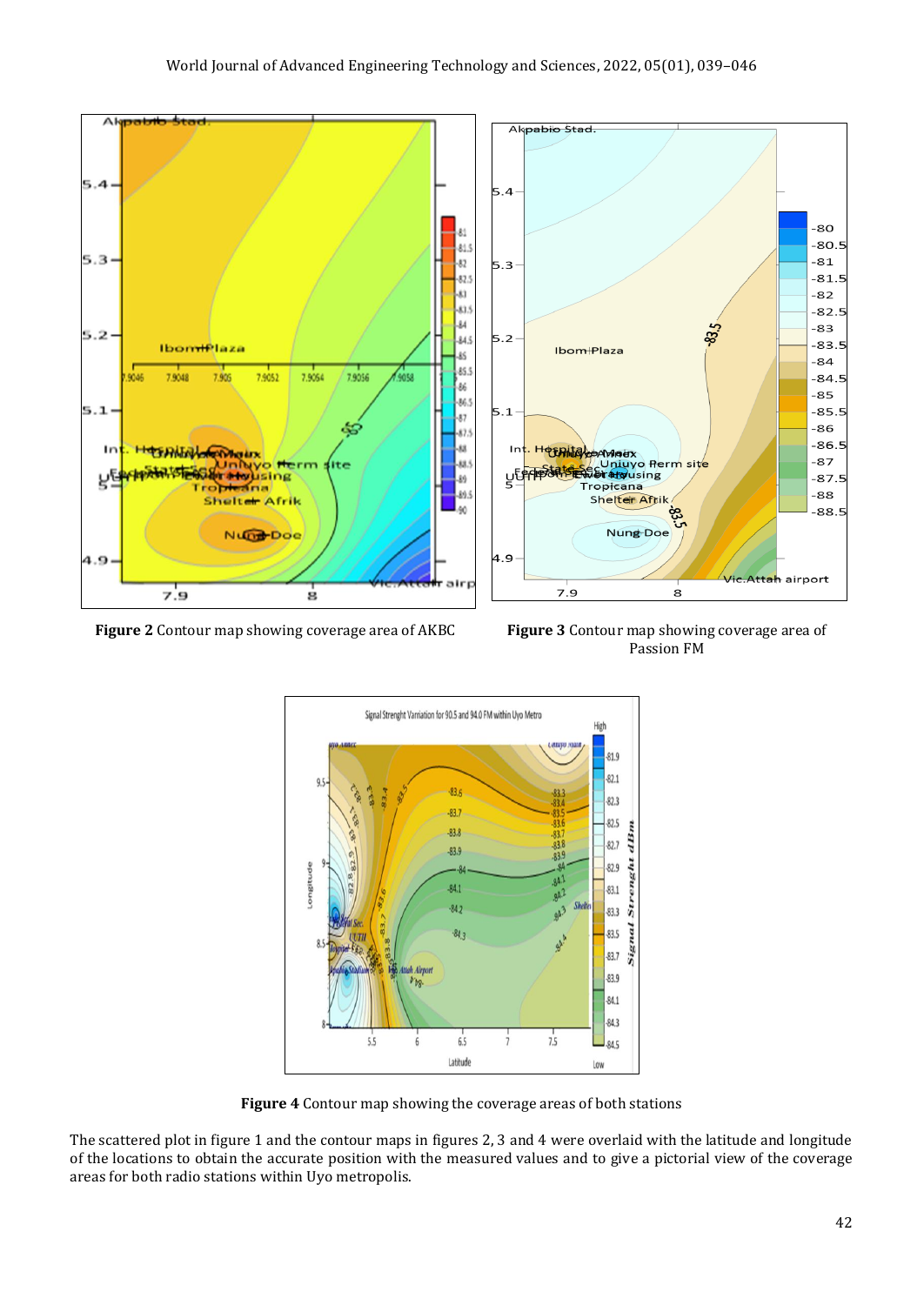

**Figure 2** Contour map showing coverage area of AKBC **Figure 3** Contour map showing coverage area of

Passion FM



**Figure 4** Contour map showing the coverage areas of both stations

The scattered plot in figure 1 and the contour maps in figures 2, 3 and 4 were overlaid with the latitude and longitude of the locations to obtain the accurate position with the measured values and to give a pictorial view of the coverage areas for both radio stations within Uyo metropolis.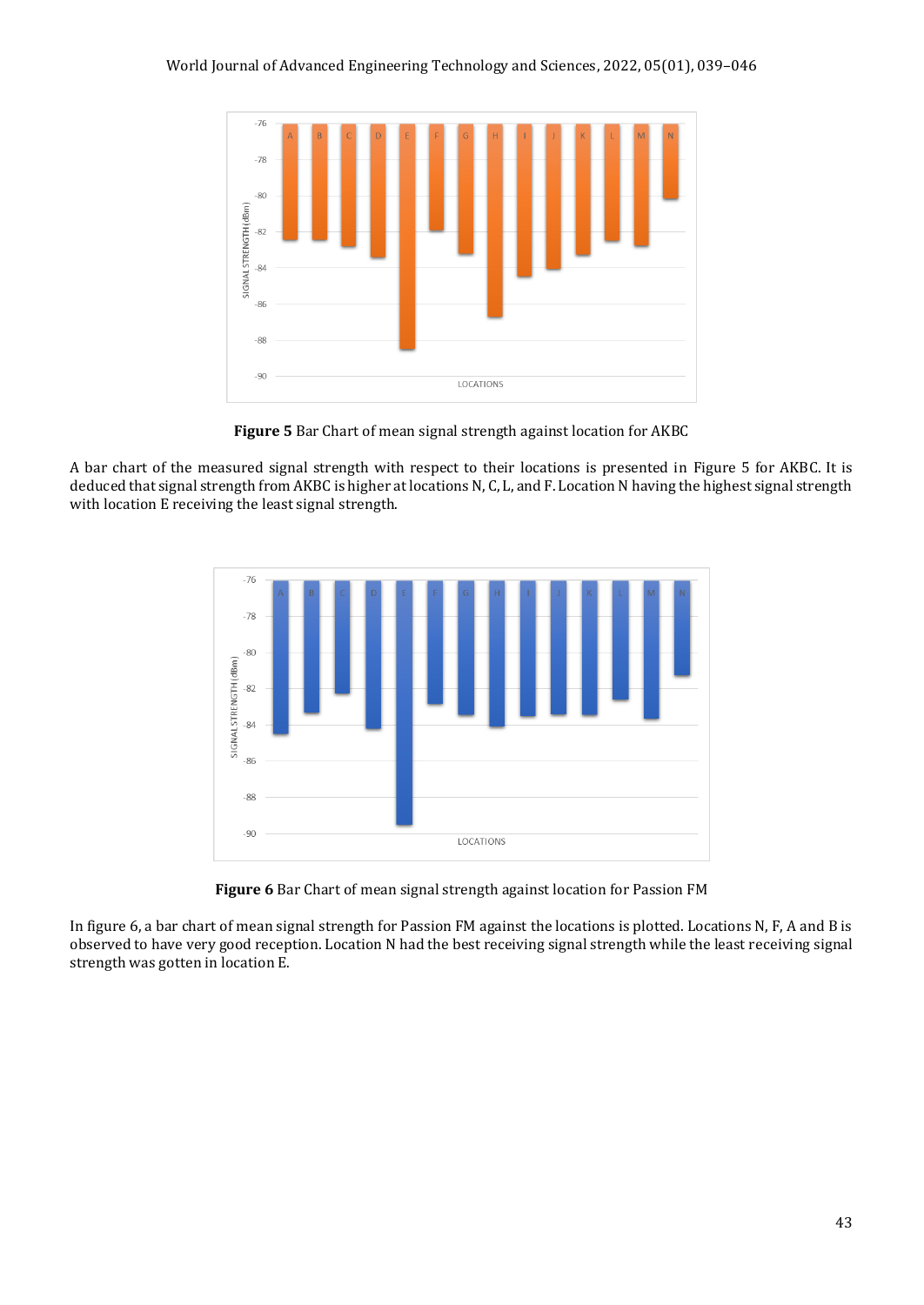

**Figure 5** Bar Chart of mean signal strength against location for AKBC

A bar chart of the measured signal strength with respect to their locations is presented in Figure 5 for AKBC. It is deduced that signal strength from AKBC is higher at locations N, C, L, and F. Location N having the highest signal strength with location E receiving the least signal strength.



**Figure 6** Bar Chart of mean signal strength against location for Passion FM

In figure 6, a bar chart of mean signal strength for Passion FM against the locations is plotted. Locations N, F, A and B is observed to have very good reception. Location N had the best receiving signal strength while the least receiving signal strength was gotten in location E.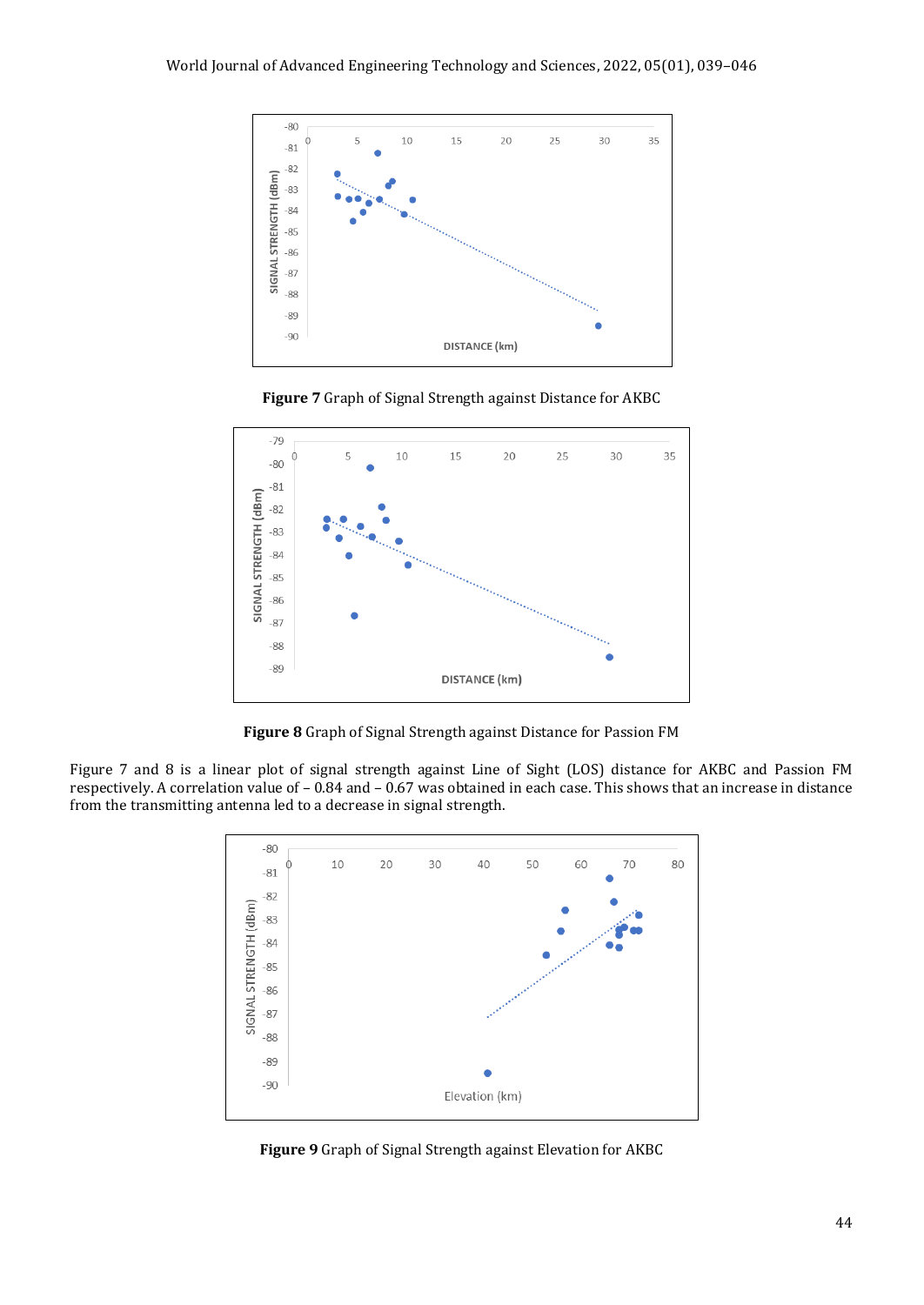

**Figure 7** Graph of Signal Strength against Distance for AKBC



**Figure 8** Graph of Signal Strength against Distance for Passion FM

Figure 7 and 8 is a linear plot of signal strength against Line of Sight (LOS) distance for AKBC and Passion FM respectively. A correlation value of – 0.84 and – 0.67 was obtained in each case. This shows that an increase in distance from the transmitting antenna led to a decrease in signal strength.



**Figure 9** Graph of Signal Strength against Elevation for AKBC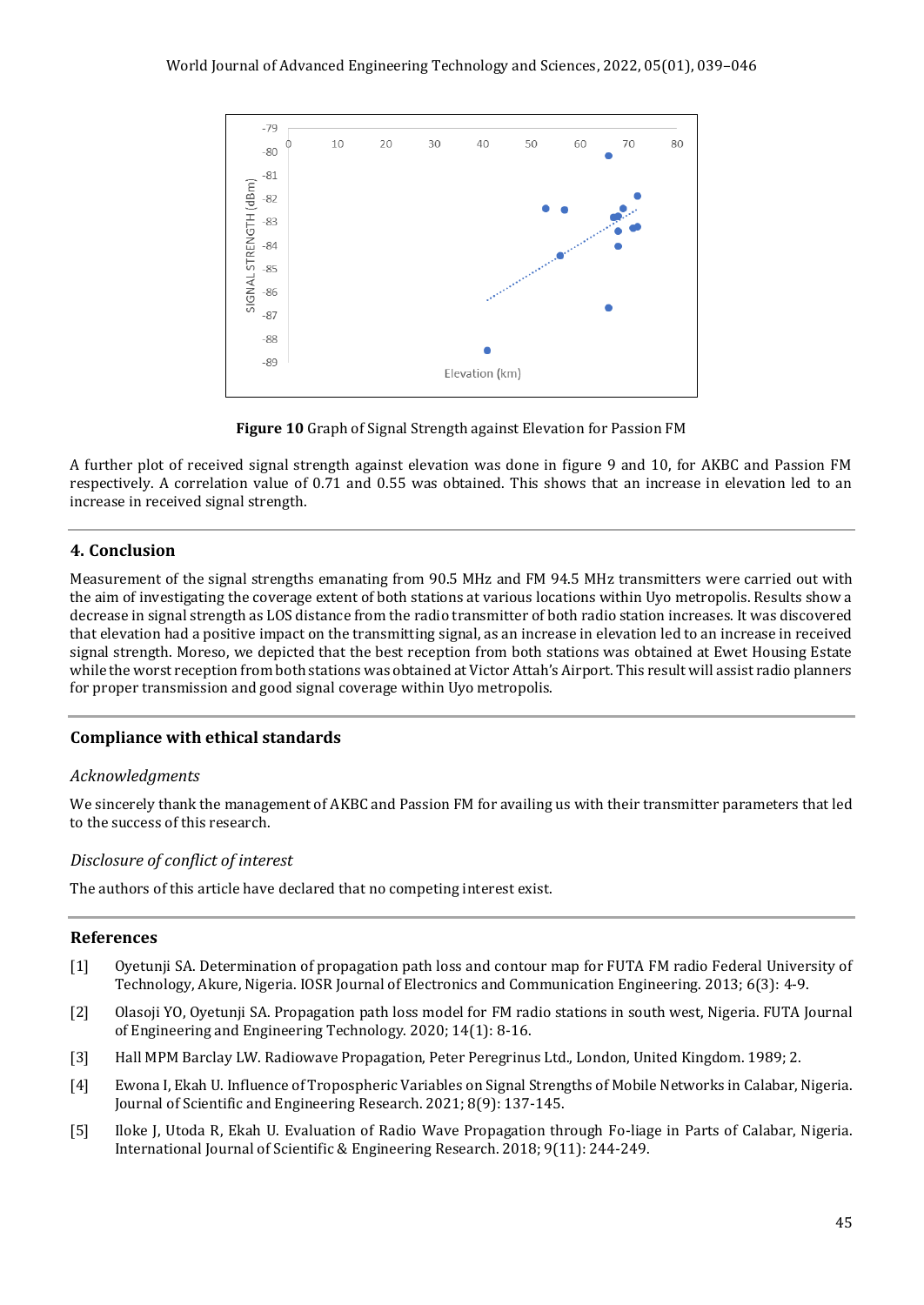

**Figure 10** Graph of Signal Strength against Elevation for Passion FM

A further plot of received signal strength against elevation was done in figure 9 and 10, for AKBC and Passion FM respectively. A correlation value of 0.71 and 0.55 was obtained. This shows that an increase in elevation led to an increase in received signal strength.

# **4. Conclusion**

Measurement of the signal strengths emanating from 90.5 MHz and FM 94.5 MHz transmitters were carried out with the aim of investigating the coverage extent of both stations at various locations within Uyo metropolis. Results show a decrease in signal strength as LOS distance from the radio transmitter of both radio station increases. It was discovered that elevation had a positive impact on the transmitting signal, as an increase in elevation led to an increase in received signal strength. Moreso, we depicted that the best reception from both stations was obtained at Ewet Housing Estate while the worst reception from both stations was obtained at Victor Attah's Airport. This result will assist radio planners for proper transmission and good signal coverage within Uyo metropolis.

# **Compliance with ethical standards**

# *Acknowledgments*

We sincerely thank the management of AKBC and Passion FM for availing us with their transmitter parameters that led to the success of this research.

# *Disclosure of conflict of interest*

The authors of this article have declared that no competing interest exist.

# **References**

- [1] Oyetunji SA. Determination of propagation path loss and contour map for FUTA FM radio Federal University of Technology, Akure, Nigeria. IOSR Journal of Electronics and Communication Engineering. 2013; 6(3): 4-9.
- [2] Olasoji YO, Oyetunji SA. Propagation path loss model for FM radio stations in south west, Nigeria. FUTA Journal of Engineering and Engineering Technology. 2020; 14(1): 8-16.
- [3] Hall MPM Barclay LW. Radiowave Propagation, Peter Peregrinus Ltd., London, United Kingdom. 1989; 2.
- [4] Ewona I, Ekah U. Influence of Tropospheric Variables on Signal Strengths of Mobile Networks in Calabar, Nigeria. Journal of Scientific and Engineering Research. 2021; 8(9): 137-145.
- [5] Iloke J, Utoda R, Ekah U. Evaluation of Radio Wave Propagation through Fo-liage in Parts of Calabar, Nigeria. International Journal of Scientific & Engineering Research. 2018; 9(11): 244-249.